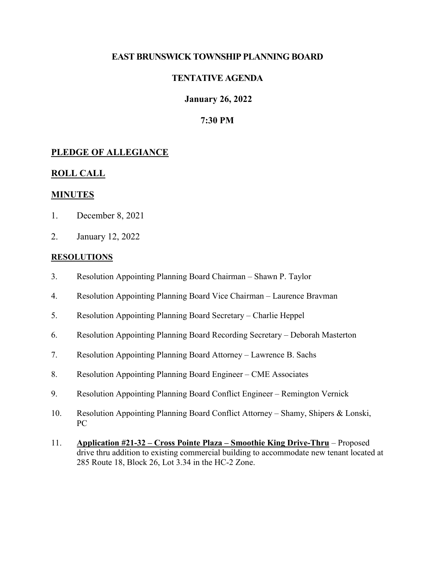### **EAST BRUNSWICK TOWNSHIP PLANNING BOARD**

## **TENTATIVE AGENDA**

### **January 26, 2022**

### **7:30 PM**

### **PLEDGE OF ALLEGIANCE**

#### **ROLL CALL**

#### **MINUTES**

- 1. December 8, 2021
- 2. January 12, 2022

#### **RESOLUTIONS**

- 3. Resolution Appointing Planning Board Chairman Shawn P. Taylor
- 4. Resolution Appointing Planning Board Vice Chairman Laurence Bravman
- 5. Resolution Appointing Planning Board Secretary Charlie Heppel
- 6. Resolution Appointing Planning Board Recording Secretary Deborah Masterton
- 7. Resolution Appointing Planning Board Attorney Lawrence B. Sachs
- 8. Resolution Appointing Planning Board Engineer CME Associates
- 9. Resolution Appointing Planning Board Conflict Engineer Remington Vernick
- 10. Resolution Appointing Planning Board Conflict Attorney Shamy, Shipers & Lonski, PC
- 11. **Application #21-32 – Cross Pointe Plaza – Smoothie King Drive-Thru** Proposed drive thru addition to existing commercial building to accommodate new tenant located at 285 Route 18, Block 26, Lot 3.34 in the HC-2 Zone.